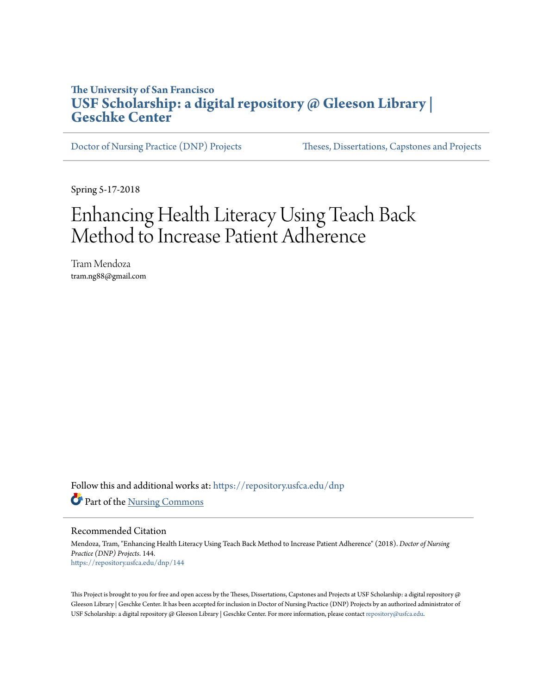### **The University of San Francisco [USF Scholarship: a digital repository @ Gleeson Library |](https://repository.usfca.edu?utm_source=repository.usfca.edu%2Fdnp%2F144&utm_medium=PDF&utm_campaign=PDFCoverPages) [Geschke Center](https://repository.usfca.edu?utm_source=repository.usfca.edu%2Fdnp%2F144&utm_medium=PDF&utm_campaign=PDFCoverPages)**

[Doctor of Nursing Practice \(DNP\) Projects](https://repository.usfca.edu/dnp?utm_source=repository.usfca.edu%2Fdnp%2F144&utm_medium=PDF&utm_campaign=PDFCoverPages) [Theses, Dissertations, Capstones and Projects](https://repository.usfca.edu/etd?utm_source=repository.usfca.edu%2Fdnp%2F144&utm_medium=PDF&utm_campaign=PDFCoverPages)

Spring 5-17-2018

# Enhancing Health Literacy Using Teach Back Method to Increase Patient Adherence

Tram Mendoza tram.ng88@gmail.com

Follow this and additional works at: [https://repository.usfca.edu/dnp](https://repository.usfca.edu/dnp?utm_source=repository.usfca.edu%2Fdnp%2F144&utm_medium=PDF&utm_campaign=PDFCoverPages) Part of the [Nursing Commons](http://network.bepress.com/hgg/discipline/718?utm_source=repository.usfca.edu%2Fdnp%2F144&utm_medium=PDF&utm_campaign=PDFCoverPages)

Recommended Citation

Mendoza, Tram, "Enhancing Health Literacy Using Teach Back Method to Increase Patient Adherence" (2018). *Doctor of Nursing Practice (DNP) Projects*. 144. [https://repository.usfca.edu/dnp/144](https://repository.usfca.edu/dnp/144?utm_source=repository.usfca.edu%2Fdnp%2F144&utm_medium=PDF&utm_campaign=PDFCoverPages)

This Project is brought to you for free and open access by the Theses, Dissertations, Capstones and Projects at USF Scholarship: a digital repository @ Gleeson Library | Geschke Center. It has been accepted for inclusion in Doctor of Nursing Practice (DNP) Projects by an authorized administrator of USF Scholarship: a digital repository @ Gleeson Library | Geschke Center. For more information, please contact [repository@usfca.edu.](mailto:repository@usfca.edu)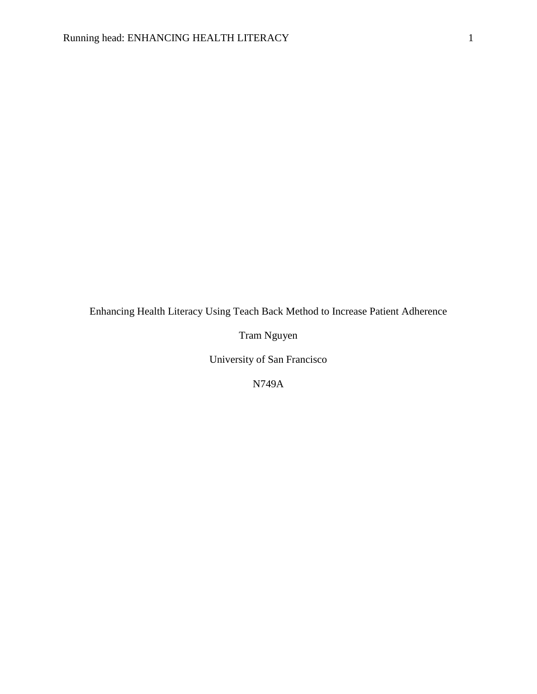Enhancing Health Literacy Using Teach Back Method to Increase Patient Adherence

Tram Nguyen

University of San Francisco

N749A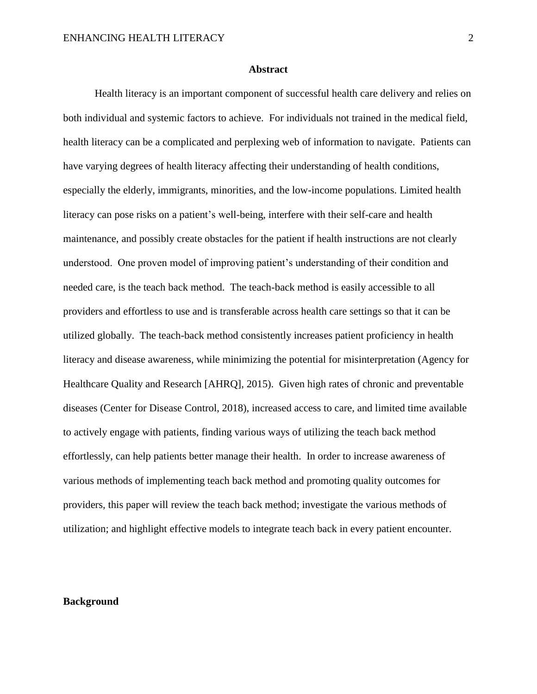#### **Abstract**

Health literacy is an important component of successful health care delivery and relies on both individual and systemic factors to achieve. For individuals not trained in the medical field, health literacy can be a complicated and perplexing web of information to navigate. Patients can have varying degrees of health literacy affecting their understanding of health conditions, especially the elderly, immigrants, minorities, and the low-income populations. Limited health literacy can pose risks on a patient's well-being, interfere with their self-care and health maintenance, and possibly create obstacles for the patient if health instructions are not clearly understood. One proven model of improving patient's understanding of their condition and needed care, is the teach back method. The teach-back method is easily accessible to all providers and effortless to use and is transferable across health care settings so that it can be utilized globally. The teach-back method consistently increases patient proficiency in health literacy and disease awareness, while minimizing the potential for misinterpretation (Agency for Healthcare Quality and Research [AHRQ], 2015). Given high rates of chronic and preventable diseases (Center for Disease Control, 2018), increased access to care, and limited time available to actively engage with patients, finding various ways of utilizing the teach back method effortlessly, can help patients better manage their health. In order to increase awareness of various methods of implementing teach back method and promoting quality outcomes for providers, this paper will review the teach back method; investigate the various methods of utilization; and highlight effective models to integrate teach back in every patient encounter.

#### **Background**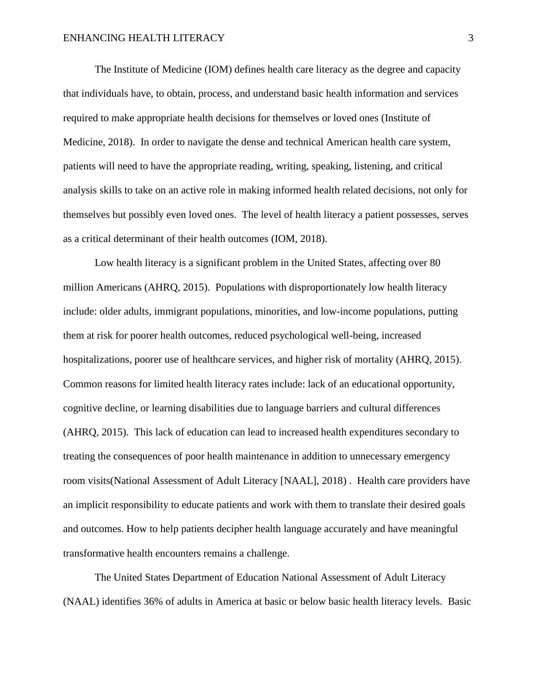The Institute of Medicine (IOM) defines health care literacy as the degree and capacity that individuals have, to obtain, process, and understand basic health information and services required to make appropriate health decisions for themselves or loved ones (Institute of Medicine, 2018). In order to navigate the dense and technical American health care system, patients will need to have the appropriate reading, writing, speaking, listening, and critical analysis skills to take on an active role in making informed health related decisions, not only for themselves but possibly even loved ones. The level of health literacy a patient possesses, serves as a critical determinant of their health outcomes (IOM, 2018).

Low health literacy is a significant problem in the United States, affecting over 80 million Americans (AHRQ, 2015). Populations with disproportionately low health literacy include: older adults, immigrant populations, minorities, and low-income populations, putting them at risk for poorer health outcomes, reduced psychological well-being, increased hospitalizations, poorer use of healthcare services, and higher risk of mortality (AHRQ, 2015). Common reasons for limited health literacy rates include: lack of an educational opportunity, cognitive decline, or learning disabilities due to language barriers and cultural differences (AHRQ, 2015). This lack of education can lead to increased health expenditures secondary to treating the consequences of poor health maintenance in addition to unnecessary emergency room visits(National Assessment of Adult Literacy [NAAL], 2018) . Health care providers have an implicit responsibility to educate patients and work with them to translate their desired goals and outcomes. How to help patients decipher health language accurately and have meaningful transformative health encounters remains a challenge.

The United States Department of Education National Assessment of Adult Literacy (NAAL) identifies 36% of adults in America at basic or below basic health literacy levels. Basic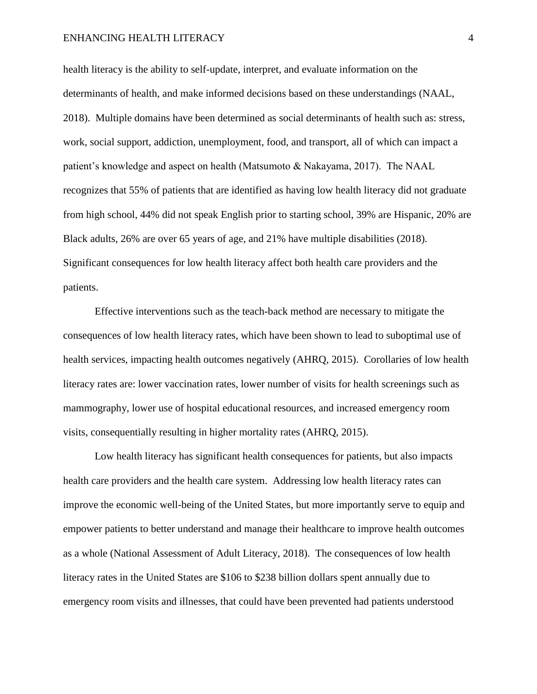health literacy is the ability to self-update, interpret, and evaluate information on the determinants of health, and make informed decisions based on these understandings (NAAL, 2018). Multiple domains have been determined as social determinants of health such as: stress, work, social support, addiction, unemployment, food, and transport, all of which can impact a patient's knowledge and aspect on health (Matsumoto & Nakayama, 2017). The NAAL recognizes that 55% of patients that are identified as having low health literacy did not graduate from high school, 44% did not speak English prior to starting school, 39% are Hispanic, 20% are Black adults, 26% are over 65 years of age, and 21% have multiple disabilities (2018). Significant consequences for low health literacy affect both health care providers and the patients.

Effective interventions such as the teach-back method are necessary to mitigate the consequences of low health literacy rates, which have been shown to lead to suboptimal use of health services, impacting health outcomes negatively (AHRQ, 2015). Corollaries of low health literacy rates are: lower vaccination rates, lower number of visits for health screenings such as mammography, lower use of hospital educational resources, and increased emergency room visits, consequentially resulting in higher mortality rates (AHRQ, 2015).

Low health literacy has significant health consequences for patients, but also impacts health care providers and the health care system. Addressing low health literacy rates can improve the economic well-being of the United States, but more importantly serve to equip and empower patients to better understand and manage their healthcare to improve health outcomes as a whole (National Assessment of Adult Literacy, 2018). The consequences of low health literacy rates in the United States are \$106 to \$238 billion dollars spent annually due to emergency room visits and illnesses, that could have been prevented had patients understood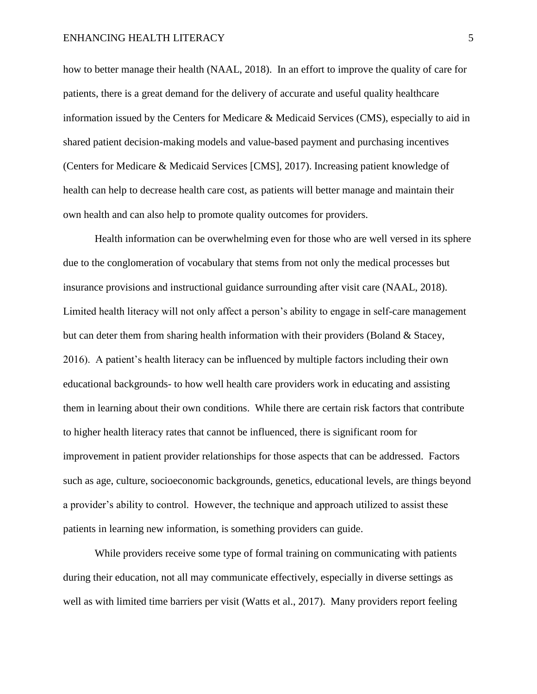how to better manage their health (NAAL, 2018). In an effort to improve the quality of care for patients, there is a great demand for the delivery of accurate and useful quality healthcare information issued by the Centers for Medicare  $\&$  Medicaid Services (CMS), especially to aid in shared patient decision-making models and value-based payment and purchasing incentives (Centers for Medicare & Medicaid Services [CMS], 2017). Increasing patient knowledge of health can help to decrease health care cost, as patients will better manage and maintain their own health and can also help to promote quality outcomes for providers.

Health information can be overwhelming even for those who are well versed in its sphere due to the conglomeration of vocabulary that stems from not only the medical processes but insurance provisions and instructional guidance surrounding after visit care (NAAL, 2018). Limited health literacy will not only affect a person's ability to engage in self-care management but can deter them from sharing health information with their providers (Boland  $\&$  Stacey, 2016). A patient's health literacy can be influenced by multiple factors including their own educational backgrounds- to how well health care providers work in educating and assisting them in learning about their own conditions. While there are certain risk factors that contribute to higher health literacy rates that cannot be influenced, there is significant room for improvement in patient provider relationships for those aspects that can be addressed. Factors such as age, culture, socioeconomic backgrounds, genetics, educational levels, are things beyond a provider's ability to control. However, the technique and approach utilized to assist these patients in learning new information, is something providers can guide.

While providers receive some type of formal training on communicating with patients during their education, not all may communicate effectively, especially in diverse settings as well as with limited time barriers per visit (Watts et al., 2017). Many providers report feeling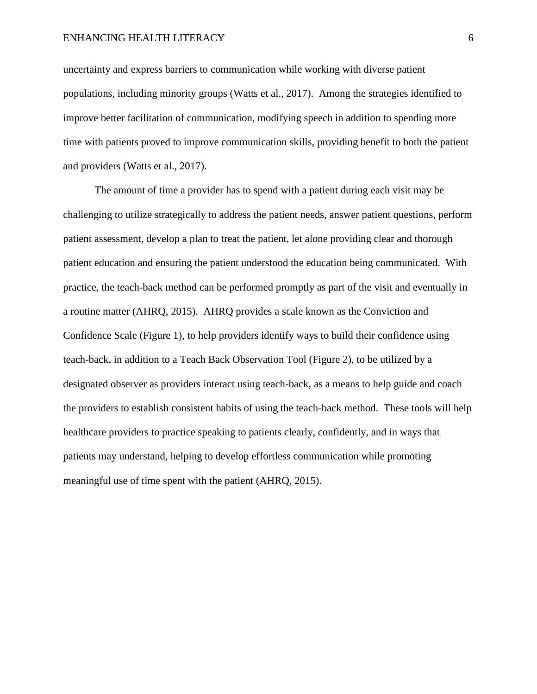uncertainty and express barriers to communication while working with diverse patient populations, including minority groups (Watts et al., 2017). Among the strategies identified to improve better facilitation of communication, modifying speech in addition to spending more time with patients proved to improve communication skills, providing benefit to both the patient and providers (Watts et al., 2017).

The amount of time a provider has to spend with a patient during each visit may be challenging to utilize strategically to address the patient needs, answer patient questions, perform patient assessment, develop a plan to treat the patient, let alone providing clear and thorough patient education and ensuring the patient understood the education being communicated. With practice, the teach-back method can be performed promptly as part of the visit and eventually in a routine matter (AHRQ, 2015). AHRQ provides a scale known as the Conviction and Confidence Scale (Figure 1), to help providers identify ways to build their confidence using teach-back, in addition to a Teach Back Observation Tool (Figure 2), to be utilized by a designated observer as providers interact using teach-back, as a means to help guide and coach the providers to establish consistent habits of using the teach-back method. These tools will help healthcare providers to practice speaking to patients clearly, confidently, and in ways that patients may understand, helping to develop effortless communication while promoting meaningful use of time spent with the patient (AHRQ, 2015).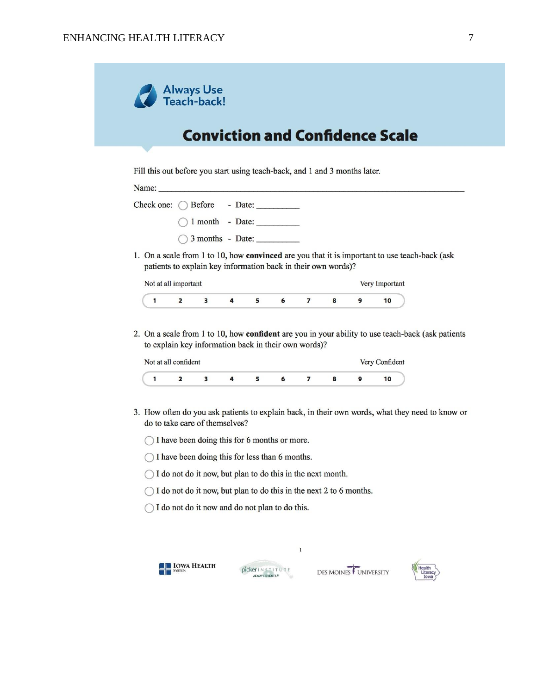$\overline{1}$ 



| Name: |                               |  |
|-------|-------------------------------|--|
|       | Check one: ( ) Before - Date: |  |
|       | $\bigcap$ 1 month - Date:     |  |
|       | $\bigcirc$ 3 months - Date:   |  |

1. On a scale from 1 to 10, how convinced are you that it is important to use teach-back (ask patients to explain key information back in their own words)?

| Not at all important |  |  |  | ry Important |  |
|----------------------|--|--|--|--------------|--|
|                      |  |  |  |              |  |

2. On a scale from 1 to 10, how confident are you in your ability to use teach-back (ask patients to explain key information back in their own words)?

| Not at all confident |  |  |  |  |  |  | Very Confident |  |  |
|----------------------|--|--|--|--|--|--|----------------|--|--|
|                      |  |  |  |  |  |  |                |  |  |

3. How often do you ask patients to explain back, in their own words, what they need to know or do to take care of themselves?

 $\,1\,$ 

- $\bigcap$  I have been doing this for 6 months or more.
- $\bigcirc$  I have been doing this for less than 6 months.
- $\bigcirc$  I do not do it now, but plan to do this in the next month.
- $\bigcirc$  I do not do it now, but plan to do this in the next 2 to 6 months.
- $\bigcirc$  I do not do it now and do not plan to do this.





DES MOINES

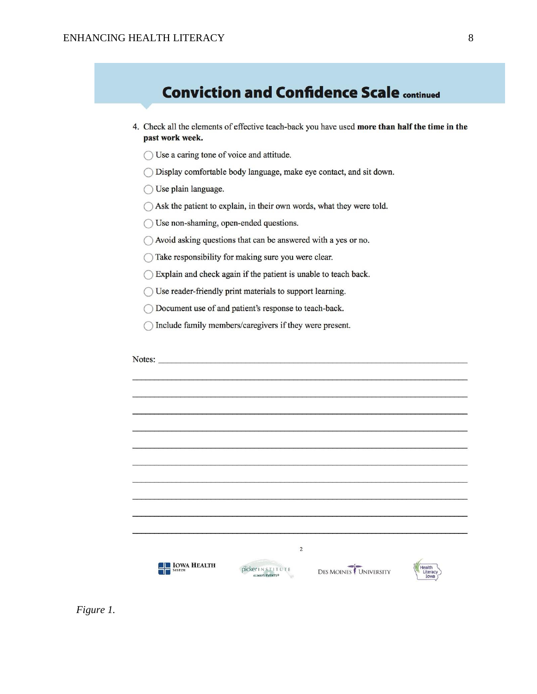|                     | 4. Check all the elements of effective teach-back you have used more than half the time in the                 |
|---------------------|----------------------------------------------------------------------------------------------------------------|
| past work week.     |                                                                                                                |
|                     | Use a caring tone of voice and attitude.<br>Display comfortable body language, make eye contact, and sit down. |
| Use plain language. |                                                                                                                |
|                     | Ask the patient to explain, in their own words, what they were told.                                           |
|                     | Use non-shaming, open-ended questions.                                                                         |
|                     | Avoid asking questions that can be answered with a yes or no.                                                  |
|                     | Take responsibility for making sure you were clear.                                                            |
|                     | Explain and check again if the patient is unable to teach back.                                                |
|                     | Use reader-friendly print materials to support learning.                                                       |
|                     | Document use of and patient's response to teach-back.                                                          |
|                     | Include family members/caregivers if they were present.                                                        |
|                     |                                                                                                                |
|                     | Notes:                                                                                                         |
|                     |                                                                                                                |
|                     |                                                                                                                |
|                     |                                                                                                                |
|                     |                                                                                                                |
|                     |                                                                                                                |
|                     |                                                                                                                |
|                     |                                                                                                                |
|                     |                                                                                                                |
|                     |                                                                                                                |

 *Figure 1.*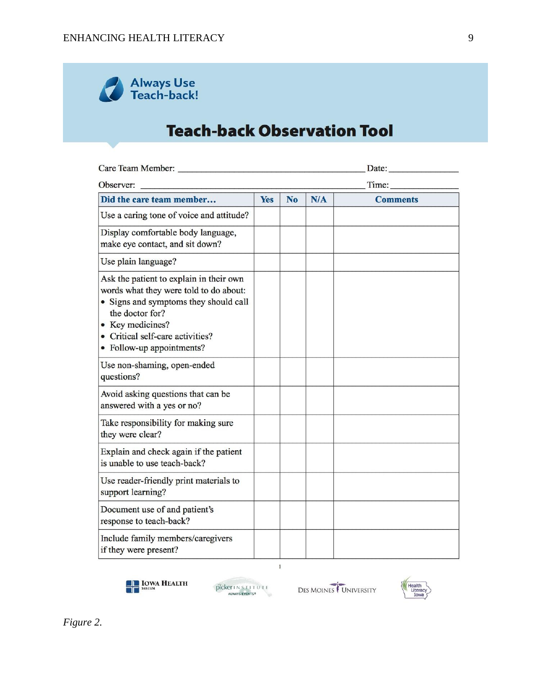

## **Teach-back Observation Tool**

| Care Team Member:                                                                                                                                                                                                                  | Date:      |                |     |                 |  |  |  |  |
|------------------------------------------------------------------------------------------------------------------------------------------------------------------------------------------------------------------------------------|------------|----------------|-----|-----------------|--|--|--|--|
| Observer:                                                                                                                                                                                                                          |            | Time:          |     |                 |  |  |  |  |
| Did the care team member                                                                                                                                                                                                           | <b>Yes</b> | N <sub>o</sub> | N/A | <b>Comments</b> |  |  |  |  |
| Use a caring tone of voice and attitude?                                                                                                                                                                                           |            |                |     |                 |  |  |  |  |
| Display comfortable body language,<br>make eye contact, and sit down?                                                                                                                                                              |            |                |     |                 |  |  |  |  |
| Use plain language?                                                                                                                                                                                                                |            |                |     |                 |  |  |  |  |
| Ask the patient to explain in their own<br>words what they were told to do about:<br>• Signs and symptoms they should call<br>the doctor for?<br>• Key medicines?<br>• Critical self-care activities?<br>• Follow-up appointments? |            |                |     |                 |  |  |  |  |
| Use non-shaming, open-ended<br>questions?                                                                                                                                                                                          |            |                |     |                 |  |  |  |  |
| Avoid asking questions that can be<br>answered with a yes or no?                                                                                                                                                                   |            |                |     |                 |  |  |  |  |
| Take responsibility for making sure<br>they were clear?                                                                                                                                                                            |            |                |     |                 |  |  |  |  |
| Explain and check again if the patient<br>is unable to use teach-back?                                                                                                                                                             |            |                |     |                 |  |  |  |  |
| Use reader-friendly print materials to<br>support learning?                                                                                                                                                                        |            |                |     |                 |  |  |  |  |
| Document use of and patient's<br>response to teach-back?                                                                                                                                                                           |            |                |     |                 |  |  |  |  |
| Include family members/caregivers<br>if they were present?                                                                                                                                                                         |            |                |     |                 |  |  |  |  |

 $\mathbf{1}$ 



PICKELLN STITUTE **W**  DES MOINES

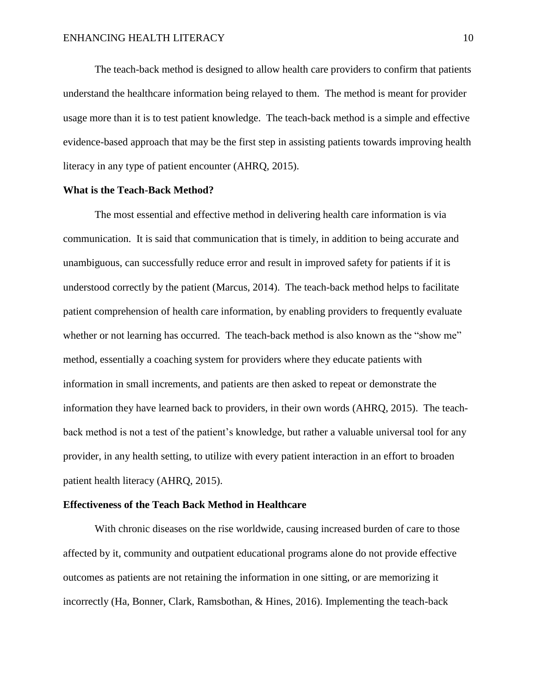The teach-back method is designed to allow health care providers to confirm that patients understand the healthcare information being relayed to them. The method is meant for provider usage more than it is to test patient knowledge. The teach-back method is a simple and effective evidence-based approach that may be the first step in assisting patients towards improving health literacy in any type of patient encounter (AHRQ, 2015).

#### **What is the Teach-Back Method?**

The most essential and effective method in delivering health care information is via communication. It is said that communication that is timely, in addition to being accurate and unambiguous, can successfully reduce error and result in improved safety for patients if it is understood correctly by the patient (Marcus, 2014). The teach-back method helps to facilitate patient comprehension of health care information, by enabling providers to frequently evaluate whether or not learning has occurred. The teach-back method is also known as the "show me" method, essentially a coaching system for providers where they educate patients with information in small increments, and patients are then asked to repeat or demonstrate the information they have learned back to providers, in their own words (AHRQ, 2015). The teachback method is not a test of the patient's knowledge, but rather a valuable universal tool for any provider, in any health setting, to utilize with every patient interaction in an effort to broaden patient health literacy (AHRQ, 2015).

#### **Effectiveness of the Teach Back Method in Healthcare**

With chronic diseases on the rise worldwide, causing increased burden of care to those affected by it, community and outpatient educational programs alone do not provide effective outcomes as patients are not retaining the information in one sitting, or are memorizing it incorrectly (Ha, Bonner, Clark, Ramsbothan, & Hines, 2016). Implementing the teach-back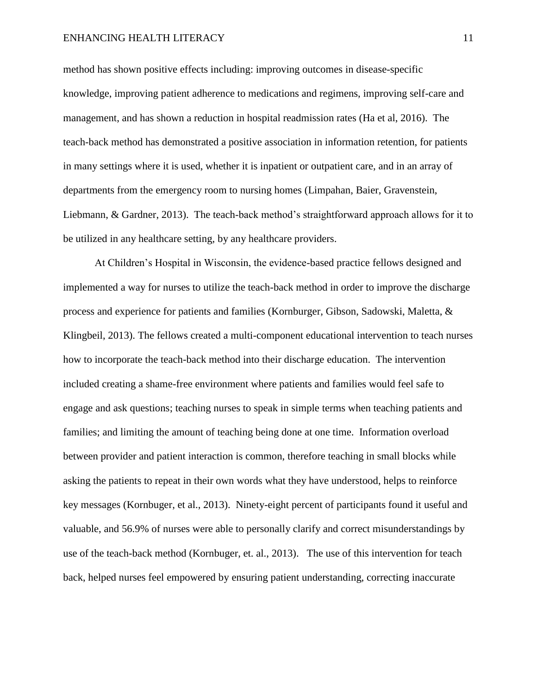method has shown positive effects including: improving outcomes in disease-specific knowledge, improving patient adherence to medications and regimens, improving self-care and management, and has shown a reduction in hospital readmission rates (Ha et al, 2016). The teach-back method has demonstrated a positive association in information retention, for patients in many settings where it is used, whether it is inpatient or outpatient care, and in an array of departments from the emergency room to nursing homes (Limpahan, Baier, Gravenstein, Liebmann, & Gardner, 2013). The teach-back method's straightforward approach allows for it to be utilized in any healthcare setting, by any healthcare providers.

At Children's Hospital in Wisconsin, the evidence-based practice fellows designed and implemented a way for nurses to utilize the teach-back method in order to improve the discharge process and experience for patients and families (Kornburger, Gibson, Sadowski, Maletta, & Klingbeil, 2013). The fellows created a multi-component educational intervention to teach nurses how to incorporate the teach-back method into their discharge education. The intervention included creating a shame-free environment where patients and families would feel safe to engage and ask questions; teaching nurses to speak in simple terms when teaching patients and families; and limiting the amount of teaching being done at one time. Information overload between provider and patient interaction is common, therefore teaching in small blocks while asking the patients to repeat in their own words what they have understood, helps to reinforce key messages (Kornbuger, et al., 2013). Ninety-eight percent of participants found it useful and valuable, and 56.9% of nurses were able to personally clarify and correct misunderstandings by use of the teach-back method (Kornbuger, et. al., 2013). The use of this intervention for teach back, helped nurses feel empowered by ensuring patient understanding, correcting inaccurate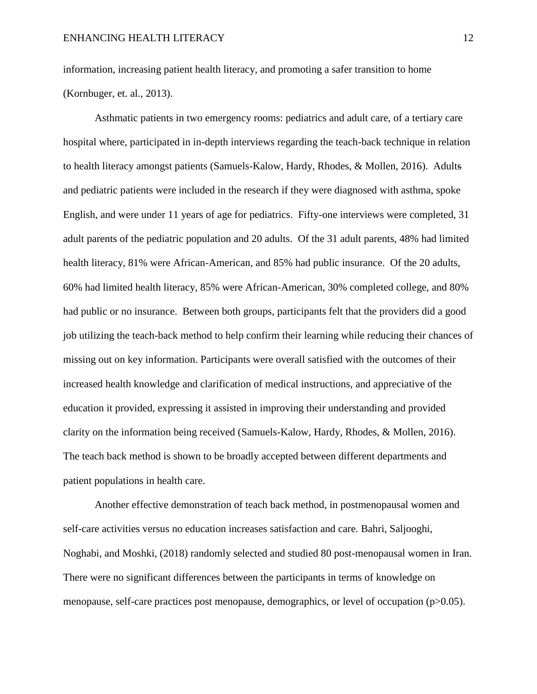information, increasing patient health literacy, and promoting a safer transition to home (Kornbuger, et. al., 2013).

Asthmatic patients in two emergency rooms: pediatrics and adult care, of a tertiary care hospital where, participated in in-depth interviews regarding the teach-back technique in relation to health literacy amongst patients (Samuels-Kalow, Hardy, Rhodes, & Mollen, 2016). Adults and pediatric patients were included in the research if they were diagnosed with asthma, spoke English, and were under 11 years of age for pediatrics. Fifty-one interviews were completed, 31 adult parents of the pediatric population and 20 adults. Of the 31 adult parents, 48% had limited health literacy, 81% were African-American, and 85% had public insurance. Of the 20 adults, 60% had limited health literacy, 85% were African-American, 30% completed college, and 80% had public or no insurance. Between both groups, participants felt that the providers did a good job utilizing the teach-back method to help confirm their learning while reducing their chances of missing out on key information. Participants were overall satisfied with the outcomes of their increased health knowledge and clarification of medical instructions, and appreciative of the education it provided, expressing it assisted in improving their understanding and provided clarity on the information being received (Samuels-Kalow, Hardy, Rhodes, & Mollen, 2016). The teach back method is shown to be broadly accepted between different departments and patient populations in health care.

Another effective demonstration of teach back method, in postmenopausal women and self-care activities versus no education increases satisfaction and care. Bahri, Saljooghi, Noghabi, and Moshki, (2018) randomly selected and studied 80 post-menopausal women in Iran. There were no significant differences between the participants in terms of knowledge on menopause, self-care practices post menopause, demographics, or level of occupation (p>0.05).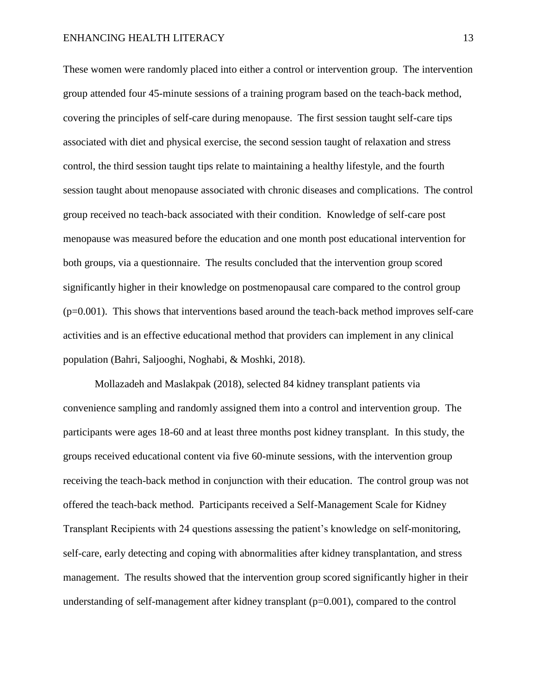These women were randomly placed into either a control or intervention group. The intervention group attended four 45-minute sessions of a training program based on the teach-back method, covering the principles of self-care during menopause. The first session taught self-care tips associated with diet and physical exercise, the second session taught of relaxation and stress control, the third session taught tips relate to maintaining a healthy lifestyle, and the fourth session taught about menopause associated with chronic diseases and complications. The control group received no teach-back associated with their condition. Knowledge of self-care post menopause was measured before the education and one month post educational intervention for both groups, via a questionnaire. The results concluded that the intervention group scored significantly higher in their knowledge on postmenopausal care compared to the control group  $(p=0.001)$ . This shows that interventions based around the teach-back method improves self-care activities and is an effective educational method that providers can implement in any clinical population (Bahri, Saljooghi, Noghabi, & Moshki, 2018).

Mollazadeh and Maslakpak (2018), selected 84 kidney transplant patients via convenience sampling and randomly assigned them into a control and intervention group. The participants were ages 18-60 and at least three months post kidney transplant. In this study, the groups received educational content via five 60-minute sessions, with the intervention group receiving the teach-back method in conjunction with their education. The control group was not offered the teach-back method. Participants received a Self-Management Scale for Kidney Transplant Recipients with 24 questions assessing the patient's knowledge on self-monitoring, self-care, early detecting and coping with abnormalities after kidney transplantation, and stress management. The results showed that the intervention group scored significantly higher in their understanding of self-management after kidney transplant (p=0.001), compared to the control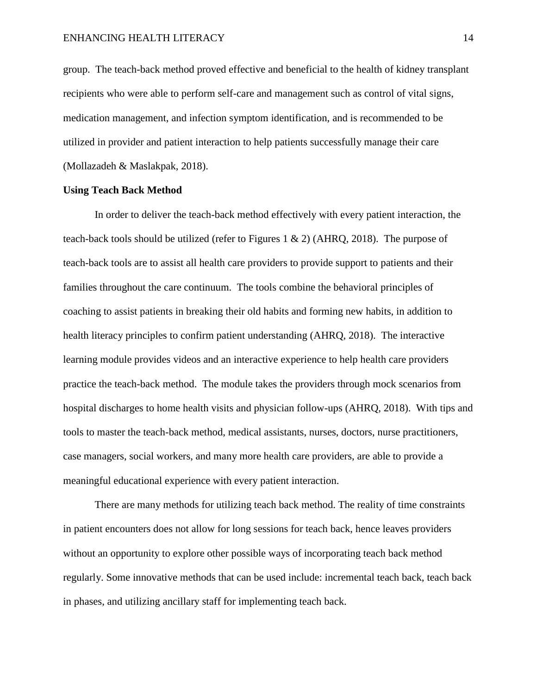group. The teach-back method proved effective and beneficial to the health of kidney transplant recipients who were able to perform self-care and management such as control of vital signs, medication management, and infection symptom identification, and is recommended to be utilized in provider and patient interaction to help patients successfully manage their care (Mollazadeh & Maslakpak, 2018).

#### **Using Teach Back Method**

In order to deliver the teach-back method effectively with every patient interaction, the teach-back tools should be utilized (refer to Figures 1 & 2) (AHRQ, 2018). The purpose of teach-back tools are to assist all health care providers to provide support to patients and their families throughout the care continuum. The tools combine the behavioral principles of coaching to assist patients in breaking their old habits and forming new habits, in addition to health literacy principles to confirm patient understanding (AHRQ, 2018). The interactive learning module provides videos and an interactive experience to help health care providers practice the teach-back method. The module takes the providers through mock scenarios from hospital discharges to home health visits and physician follow-ups (AHRQ, 2018). With tips and tools to master the teach-back method, medical assistants, nurses, doctors, nurse practitioners, case managers, social workers, and many more health care providers, are able to provide a meaningful educational experience with every patient interaction.

There are many methods for utilizing teach back method. The reality of time constraints in patient encounters does not allow for long sessions for teach back, hence leaves providers without an opportunity to explore other possible ways of incorporating teach back method regularly. Some innovative methods that can be used include: incremental teach back, teach back in phases, and utilizing ancillary staff for implementing teach back.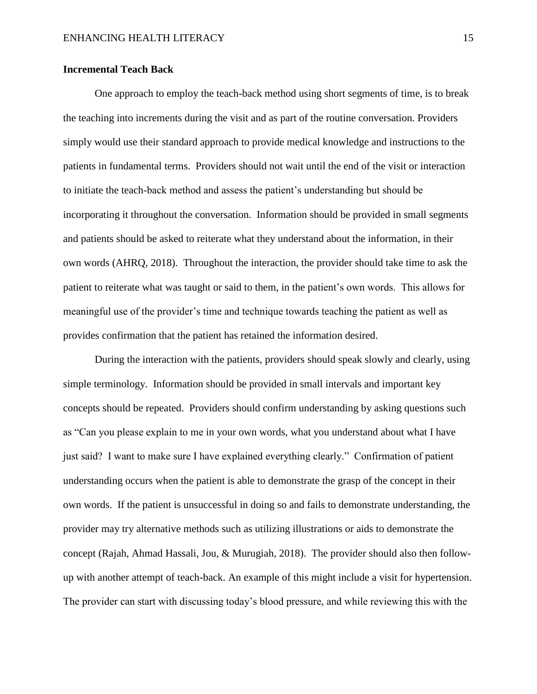#### **Incremental Teach Back**

One approach to employ the teach-back method using short segments of time, is to break the teaching into increments during the visit and as part of the routine conversation. Providers simply would use their standard approach to provide medical knowledge and instructions to the patients in fundamental terms. Providers should not wait until the end of the visit or interaction to initiate the teach-back method and assess the patient's understanding but should be incorporating it throughout the conversation. Information should be provided in small segments and patients should be asked to reiterate what they understand about the information, in their own words (AHRQ, 2018). Throughout the interaction, the provider should take time to ask the patient to reiterate what was taught or said to them, in the patient's own words. This allows for meaningful use of the provider's time and technique towards teaching the patient as well as provides confirmation that the patient has retained the information desired.

During the interaction with the patients, providers should speak slowly and clearly, using simple terminology. Information should be provided in small intervals and important key concepts should be repeated. Providers should confirm understanding by asking questions such as "Can you please explain to me in your own words, what you understand about what I have just said? I want to make sure I have explained everything clearly." Confirmation of patient understanding occurs when the patient is able to demonstrate the grasp of the concept in their own words. If the patient is unsuccessful in doing so and fails to demonstrate understanding, the provider may try alternative methods such as utilizing illustrations or aids to demonstrate the concept (Rajah, Ahmad Hassali, Jou, & Murugiah, 2018). The provider should also then followup with another attempt of teach-back. An example of this might include a visit for hypertension. The provider can start with discussing today's blood pressure, and while reviewing this with the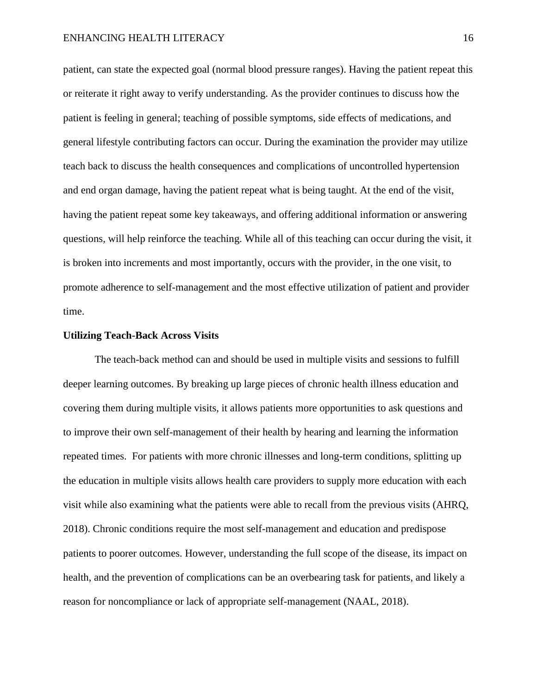patient, can state the expected goal (normal blood pressure ranges). Having the patient repeat this or reiterate it right away to verify understanding. As the provider continues to discuss how the patient is feeling in general; teaching of possible symptoms, side effects of medications, and general lifestyle contributing factors can occur. During the examination the provider may utilize teach back to discuss the health consequences and complications of uncontrolled hypertension and end organ damage, having the patient repeat what is being taught. At the end of the visit, having the patient repeat some key takeaways, and offering additional information or answering questions, will help reinforce the teaching. While all of this teaching can occur during the visit, it is broken into increments and most importantly, occurs with the provider, in the one visit, to promote adherence to self-management and the most effective utilization of patient and provider time.

#### **Utilizing Teach-Back Across Visits**

The teach-back method can and should be used in multiple visits and sessions to fulfill deeper learning outcomes. By breaking up large pieces of chronic health illness education and covering them during multiple visits, it allows patients more opportunities to ask questions and to improve their own self-management of their health by hearing and learning the information repeated times. For patients with more chronic illnesses and long-term conditions, splitting up the education in multiple visits allows health care providers to supply more education with each visit while also examining what the patients were able to recall from the previous visits (AHRQ, 2018). Chronic conditions require the most self-management and education and predispose patients to poorer outcomes. However, understanding the full scope of the disease, its impact on health, and the prevention of complications can be an overbearing task for patients, and likely a reason for noncompliance or lack of appropriate self-management (NAAL, 2018).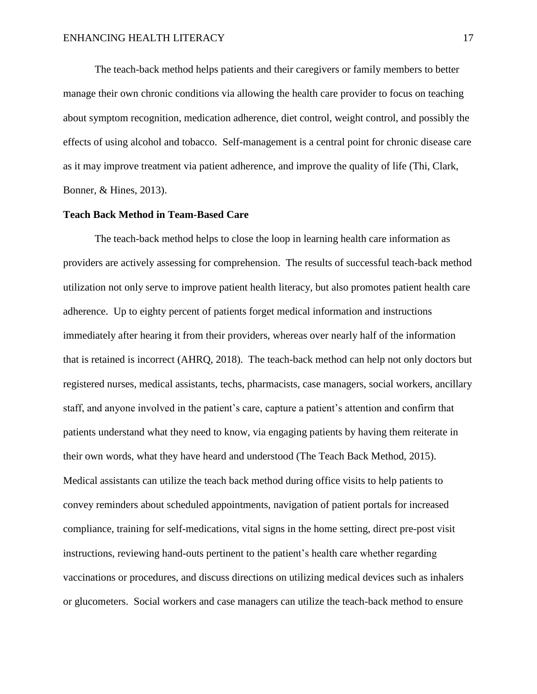The teach-back method helps patients and their caregivers or family members to better manage their own chronic conditions via allowing the health care provider to focus on teaching about symptom recognition, medication adherence, diet control, weight control, and possibly the effects of using alcohol and tobacco. Self-management is a central point for chronic disease care as it may improve treatment via patient adherence, and improve the quality of life (Thi, Clark, Bonner, & Hines, 2013).

#### **Teach Back Method in Team-Based Care**

The teach-back method helps to close the loop in learning health care information as providers are actively assessing for comprehension. The results of successful teach-back method utilization not only serve to improve patient health literacy, but also promotes patient health care adherence. Up to eighty percent of patients forget medical information and instructions immediately after hearing it from their providers, whereas over nearly half of the information that is retained is incorrect (AHRQ, 2018). The teach-back method can help not only doctors but registered nurses, medical assistants, techs, pharmacists, case managers, social workers, ancillary staff, and anyone involved in the patient's care, capture a patient's attention and confirm that patients understand what they need to know, via engaging patients by having them reiterate in their own words, what they have heard and understood (The Teach Back Method, 2015). Medical assistants can utilize the teach back method during office visits to help patients to convey reminders about scheduled appointments, navigation of patient portals for increased compliance, training for self-medications, vital signs in the home setting, direct pre-post visit instructions, reviewing hand-outs pertinent to the patient's health care whether regarding vaccinations or procedures, and discuss directions on utilizing medical devices such as inhalers or glucometers. Social workers and case managers can utilize the teach-back method to ensure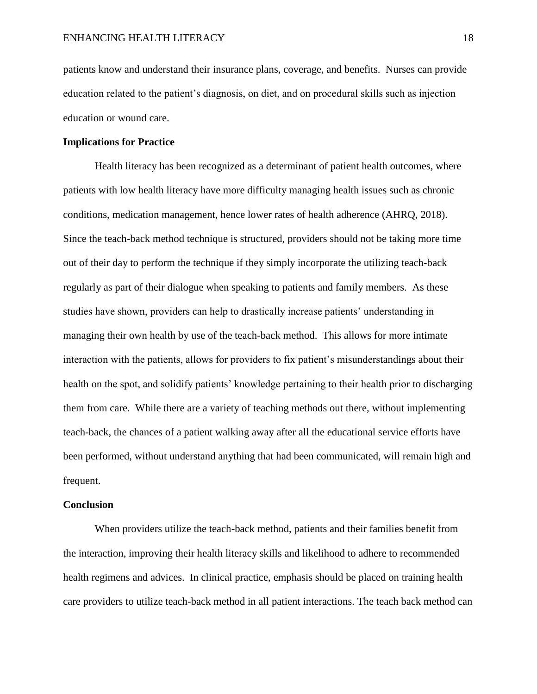patients know and understand their insurance plans, coverage, and benefits. Nurses can provide education related to the patient's diagnosis, on diet, and on procedural skills such as injection education or wound care.

#### **Implications for Practice**

Health literacy has been recognized as a determinant of patient health outcomes, where patients with low health literacy have more difficulty managing health issues such as chronic conditions, medication management, hence lower rates of health adherence (AHRQ, 2018). Since the teach-back method technique is structured, providers should not be taking more time out of their day to perform the technique if they simply incorporate the utilizing teach-back regularly as part of their dialogue when speaking to patients and family members. As these studies have shown, providers can help to drastically increase patients' understanding in managing their own health by use of the teach-back method. This allows for more intimate interaction with the patients, allows for providers to fix patient's misunderstandings about their health on the spot, and solidify patients' knowledge pertaining to their health prior to discharging them from care. While there are a variety of teaching methods out there, without implementing teach-back, the chances of a patient walking away after all the educational service efforts have been performed, without understand anything that had been communicated, will remain high and frequent.

#### **Conclusion**

When providers utilize the teach-back method, patients and their families benefit from the interaction, improving their health literacy skills and likelihood to adhere to recommended health regimens and advices. In clinical practice, emphasis should be placed on training health care providers to utilize teach-back method in all patient interactions. The teach back method can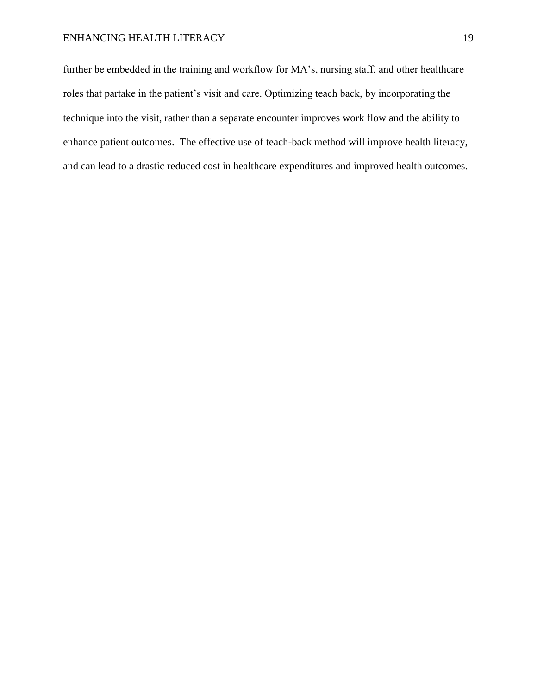further be embedded in the training and workflow for MA's, nursing staff, and other healthcare roles that partake in the patient's visit and care. Optimizing teach back, by incorporating the technique into the visit, rather than a separate encounter improves work flow and the ability to enhance patient outcomes. The effective use of teach-back method will improve health literacy, and can lead to a drastic reduced cost in healthcare expenditures and improved health outcomes.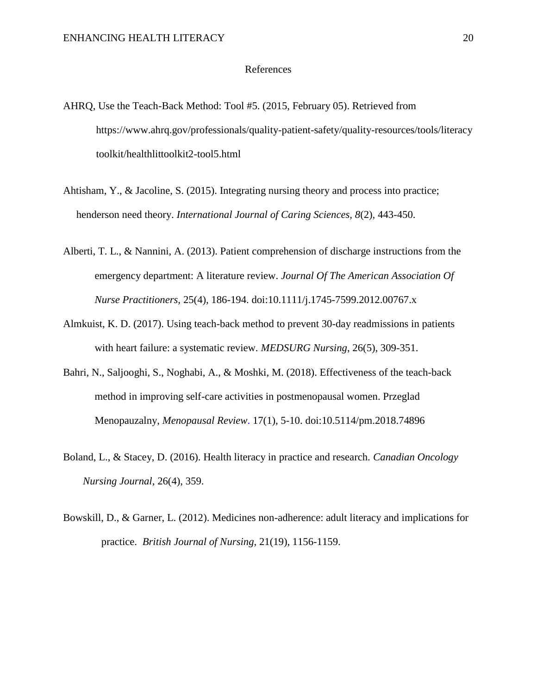#### References

- AHRQ, Use the Teach-Back Method: Tool #5. (2015, February 05). Retrieved from https://www.ahrq.gov/professionals/quality-patient-safety/quality-resources/tools/literacy toolkit/healthlittoolkit2-tool5.html
- Ahtisham, Y., & Jacoline, S. (2015). Integrating nursing theory and process into practice; henderson need theory. *International Journal of Caring Sciences, 8*(2), 443-450.
- Alberti, T. L., & Nannini, A. (2013). Patient comprehension of discharge instructions from the emergency department: A literature review. *Journal Of The American Association Of Nurse Practitioners,* 25(4), 186-194. doi:10.1111/j.1745-7599.2012.00767.x
- Almkuist, K. D. (2017). Using teach-back method to prevent 30-day readmissions in patients with heart failure: a systematic review. *MEDSURG Nursing*, 26(5), 309-351.
- Bahri, N., Saljooghi, S., Noghabi, A., & Moshki, M. (2018). Effectiveness of the teach-back method in improving self-care activities in postmenopausal women. Przeglad Menopauzalny, *Menopausal Review*. 17(1), 5-10. doi:10.5114/pm.2018.74896
- Boland, L., & Stacey, D. (2016). Health literacy in practice and research. *Canadian Oncology Nursing Journal*, 26(4), 359.
- Bowskill, D., & Garner, L. (2012). Medicines non-adherence: adult literacy and implications for practice. *British Journal of Nursing*, 21(19), 1156-1159.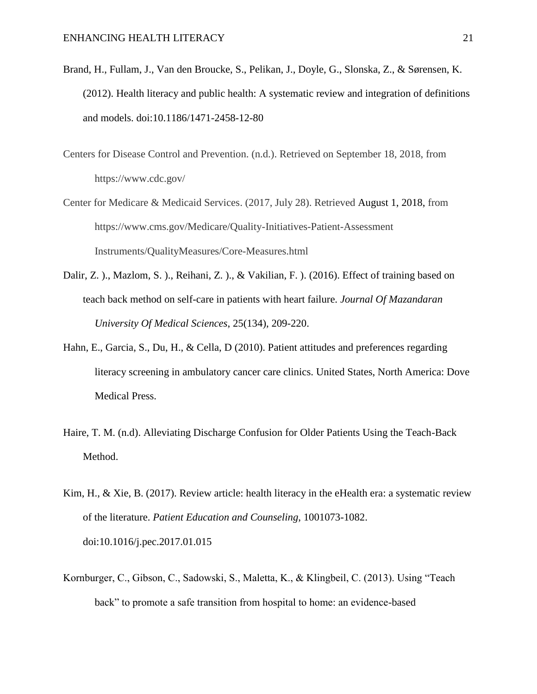- Brand, H., Fullam, J., Van den Broucke, S., Pelikan, J., Doyle, G., Slonska, Z., & Sørensen, K. (2012). Health literacy and public health: A systematic review and integration of definitions and models. doi:10.1186/1471-2458-12-80
- Centers for Disease Control and Prevention. (n.d.). Retrieved on September 18, 2018, from https://www.cdc.gov/
- Center for Medicare & Medicaid Services. (2017, July 28). Retrieved August 1, 2018, from https://www.cms.gov/Medicare/Quality-Initiatives-Patient-Assessment Instruments/QualityMeasures/Core-Measures.html
- Dalir, Z. )., Mazlom, S. )., Reihani, Z. )., & Vakilian, F. ). (2016). Effect of training based on teach back method on self-care in patients with heart failure. *Journal Of Mazandaran University Of Medical Sciences*, 25(134), 209-220.
- Hahn, E., Garcia, S., Du, H., & Cella, D (2010). Patient attitudes and preferences regarding literacy screening in ambulatory cancer care clinics. United States, North America: Dove Medical Press.
- Haire, T. M. (n.d). Alleviating Discharge Confusion for Older Patients Using the Teach-Back Method.
- Kim, H., & Xie, B. (2017). Review article: health literacy in the eHealth era: a systematic review of the literature. *Patient Education and Counseling*, 1001073-1082. doi:10.1016/j.pec.2017.01.015
- Kornburger, C., Gibson, C., Sadowski, S., Maletta, K., & Klingbeil, C. (2013). Using "Teach back" to promote a safe transition from hospital to home: an evidence-based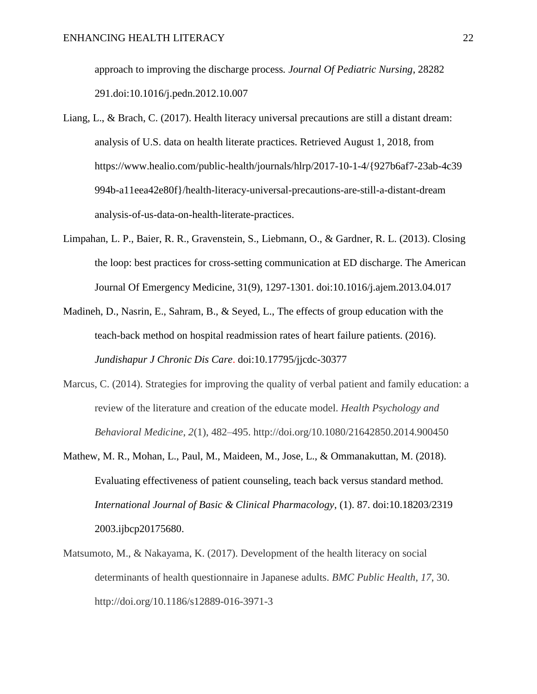approach to improving the discharge process*. Journal Of Pediatric Nursing*, 28282 291.doi:10.1016/j.pedn.2012.10.007

- Liang, L., & Brach, C. (2017). Health literacy universal precautions are still a distant dream: analysis of U.S. data on health literate practices. Retrieved August 1, 2018, from https://www.healio.com/public-health/journals/hlrp/2017-10-1-4/{927b6af7-23ab-4c39 994b-a11eea42e80f}/health-literacy-universal-precautions-are-still-a-distant-dream analysis-of-us-data-on-health-literate-practices.
- Limpahan, L. P., Baier, R. R., Gravenstein, S., Liebmann, O., & Gardner, R. L. (2013). Closing the loop: best practices for cross-setting communication at ED discharge. The American Journal Of Emergency Medicine, 31(9), 1297-1301. doi:10.1016/j.ajem.2013.04.017
- Madineh, D., Nasrin, E., Sahram, B., & Seyed, L., The effects of group education with the teach-back method on hospital readmission rates of heart failure patients. (2016). *Jundishapur J Chronic Dis Care*. doi:10.17795/jjcdc-30377
- Marcus, C. (2014). Strategies for improving the quality of verbal patient and family education: a review of the literature and creation of the educate model. *Health Psychology and Behavioral Medicine*, *2*(1), 482–495. http://doi.org/10.1080/21642850.2014.900450
- Mathew, M. R., Mohan, L., Paul, M., Maideen, M., Jose, L., & Ommanakuttan, M. (2018). Evaluating effectiveness of patient counseling, teach back versus standard method. *International Journal of Basic & Clinical Pharmacology*, (1). 87. doi:10.18203/2319 2003.ijbcp20175680.
- Matsumoto, M., & Nakayama, K. (2017). Development of the health literacy on social determinants of health questionnaire in Japanese adults. *BMC Public Health*, *17*, 30. http://doi.org/10.1186/s12889-016-3971-3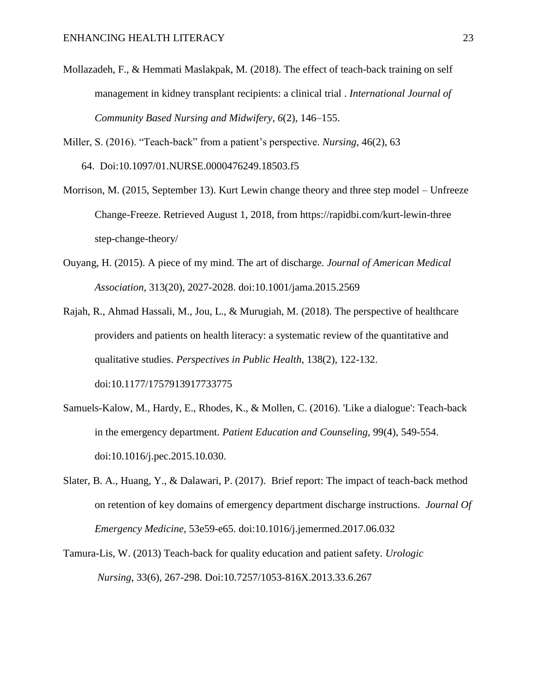- Mollazadeh, F., & Hemmati Maslakpak, M. (2018). The effect of teach-back training on self management in kidney transplant recipients: a clinical trial . *International Journal of Community Based Nursing and Midwifery*, *6*(2), 146–155.
- Miller, S. (2016). "Teach-back" from a patient's perspective. *Nursing*, 46(2), 63 64. Doi:10.1097/01.NURSE.0000476249.18503.f5
- Morrison, M. (2015, September 13). Kurt Lewin change theory and three step model Unfreeze Change-Freeze. Retrieved August 1, 2018, from https://rapidbi.com/kurt-lewin-three step-change-theory/
- Ouyang, H. (2015). A piece of my mind. The art of discharge. *Journal of American Medical Association*, 313(20), 2027-2028. doi:10.1001/jama.2015.2569
- Rajah, R., Ahmad Hassali, M., Jou, L., & Murugiah, M. (2018). The perspective of healthcare providers and patients on health literacy: a systematic review of the quantitative and qualitative studies. *Perspectives in Public Health*, 138(2), 122-132. doi:10.1177/1757913917733775
- Samuels-Kalow, M., Hardy, E., Rhodes, K., & Mollen, C. (2016). 'Like a dialogue': Teach-back in the emergency department. *Patient Education and Counseling*, 99(4), 549-554. doi:10.1016/j.pec.2015.10.030.
- Slater, B. A., Huang, Y., & Dalawari, P. (2017). Brief report: The impact of teach-back method on retention of key domains of emergency department discharge instructions. *Journal Of Emergency Medicine*, 53e59-e65. doi:10.1016/j.jemermed.2017.06.032
- Tamura-Lis, W. (2013) Teach-back for quality education and patient safety. *Urologic Nursing*, 33(6), 267-298. Doi:10.7257/1053-816X.2013.33.6.267